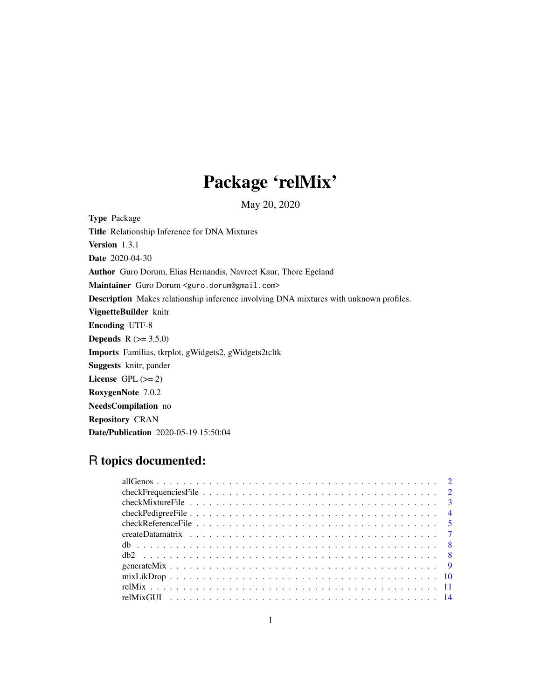# Package 'relMix'

May 20, 2020

<span id="page-0-0"></span>Type Package Title Relationship Inference for DNA Mixtures Version 1.3.1 Date 2020-04-30 Author Guro Dorum, Elias Hernandis, Navreet Kaur, Thore Egeland Maintainer Guro Dorum <guro.dorum@gmail.com> Description Makes relationship inference involving DNA mixtures with unknown profiles. VignetteBuilder knitr Encoding UTF-8 **Depends** R  $(>= 3.5.0)$ Imports Familias, tkrplot, gWidgets2, gWidgets2tcltk Suggests knitr, pander License GPL  $(>= 2)$ RoxygenNote 7.0.2 NeedsCompilation no Repository CRAN Date/Publication 2020-05-19 15:50:04

# R topics documented: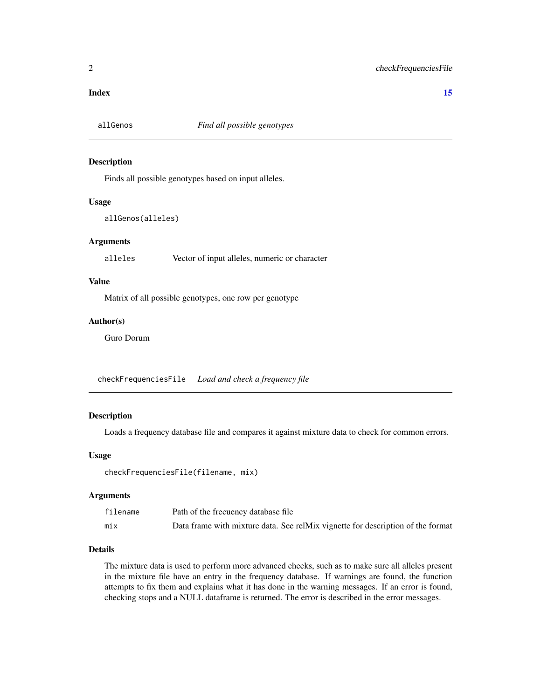#### <span id="page-1-0"></span>**Index** [15](#page-14-0)

#### Description

Finds all possible genotypes based on input alleles.

#### Usage

allGenos(alleles)

#### **Arguments**

alleles Vector of input alleles, numeric or character

# Value

Matrix of all possible genotypes, one row per genotype

#### Author(s)

Guro Dorum

checkFrequenciesFile *Load and check a frequency file*

# Description

Loads a frequency database file and compares it against mixture data to check for common errors.

# Usage

```
checkFrequenciesFile(filename, mix)
```
#### Arguments

| filename | Path of the frecuency database file                                             |
|----------|---------------------------------------------------------------------------------|
| mix      | Data frame with mixture data. See relMix vignette for description of the format |

# Details

The mixture data is used to perform more advanced checks, such as to make sure all alleles present in the mixture file have an entry in the frequency database. If warnings are found, the function attempts to fix them and explains what it has done in the warning messages. If an error is found, checking stops and a NULL dataframe is returned. The error is described in the error messages.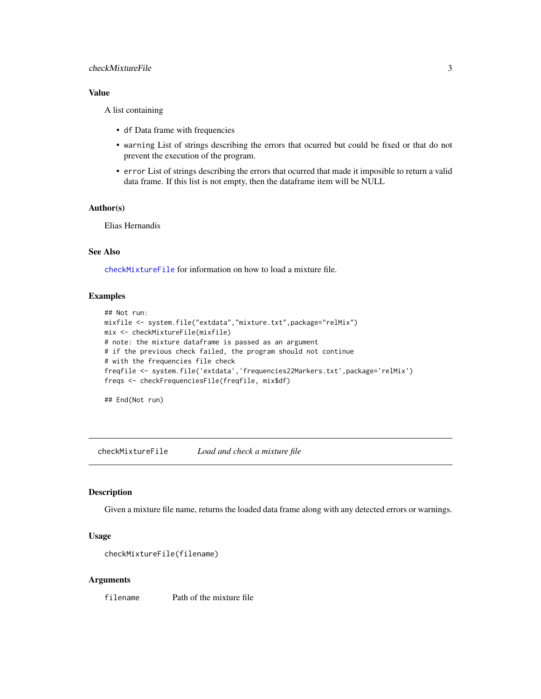# <span id="page-2-0"></span>checkMixtureFile 3

# Value

A list containing

- df Data frame with frequencies
- warning List of strings describing the errors that ocurred but could be fixed or that do not prevent the execution of the program.
- error List of strings describing the errors that ocurred that made it imposible to return a valid data frame. If this list is not empty, then the dataframe item will be NULL

#### Author(s)

Elias Hernandis

# See Also

[checkMixtureFile](#page-2-1) for information on how to load a mixture file.

# Examples

```
## Not run:
mixfile <- system.file("extdata","mixture.txt",package="relMix")
mix <- checkMixtureFile(mixfile)
# note: the mixture dataframe is passed as an argument
# if the previous check failed, the program should not continue
# with the frequencies file check
freqfile <- system.file('extdata','frequencies22Markers.txt',package='relMix')
freqs <- checkFrequenciesFile(freqfile, mix$df)
```
## End(Not run)

<span id="page-2-1"></span>checkMixtureFile *Load and check a mixture file*

#### Description

Given a mixture file name, returns the loaded data frame along with any detected errors or warnings.

#### Usage

```
checkMixtureFile(filename)
```
# Arguments

filename Path of the mixture file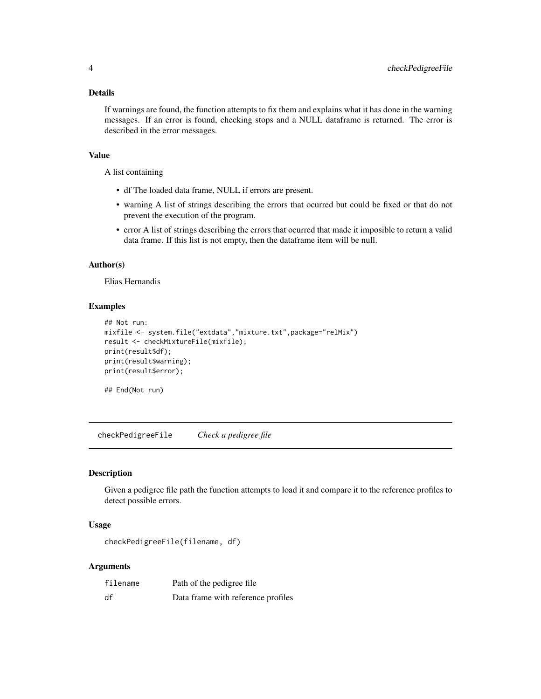# <span id="page-3-0"></span>Details

If warnings are found, the function attempts to fix them and explains what it has done in the warning messages. If an error is found, checking stops and a NULL dataframe is returned. The error is described in the error messages.

# Value

A list containing

- df The loaded data frame, NULL if errors are present.
- warning A list of strings describing the errors that ocurred but could be fixed or that do not prevent the execution of the program.
- error A list of strings describing the errors that ocurred that made it imposible to return a valid data frame. If this list is not empty, then the dataframe item will be null.

#### Author(s)

Elias Hernandis

# Examples

```
## Not run:
mixfile <- system.file("extdata","mixture.txt",package="relMix")
result <- checkMixtureFile(mixfile);
print(result$df);
print(result$warning);
print(result$error);
```
## End(Not run)

checkPedigreeFile *Check a pedigree file*

#### Description

Given a pedigree file path the function attempts to load it and compare it to the reference profiles to detect possible errors.

# Usage

checkPedigreeFile(filename, df)

#### Arguments

| filename | Path of the pedigree file          |
|----------|------------------------------------|
| df       | Data frame with reference profiles |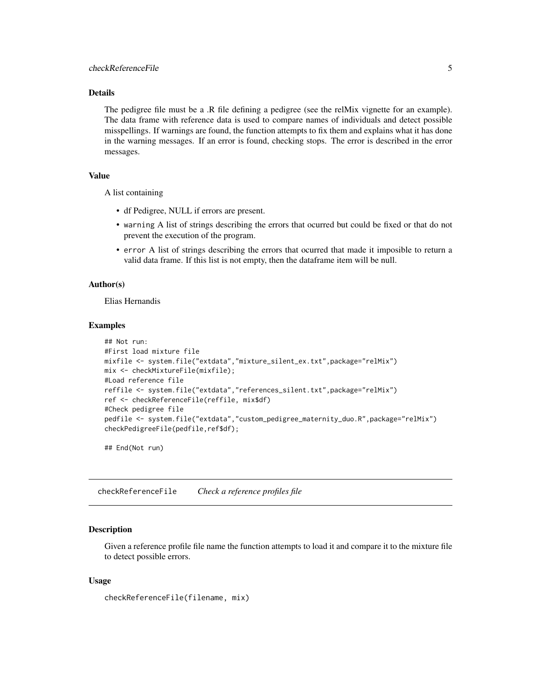# <span id="page-4-0"></span>Details

The pedigree file must be a .R file defining a pedigree (see the relMix vignette for an example). The data frame with reference data is used to compare names of individuals and detect possible misspellings. If warnings are found, the function attempts to fix them and explains what it has done in the warning messages. If an error is found, checking stops. The error is described in the error messages.

# Value

A list containing

- df Pedigree, NULL if errors are present.
- warning A list of strings describing the errors that ocurred but could be fixed or that do not prevent the execution of the program.
- error A list of strings describing the errors that ocurred that made it imposible to return a valid data frame. If this list is not empty, then the dataframe item will be null.

#### Author(s)

Elias Hernandis

#### Examples

```
## Not run:
#First load mixture file
mixfile <- system.file("extdata","mixture_silent_ex.txt",package="relMix")
mix <- checkMixtureFile(mixfile);
#Load reference file
reffile <- system.file("extdata","references_silent.txt",package="relMix")
ref <- checkReferenceFile(reffile, mix$df)
#Check pedigree file
pedfile <- system.file("extdata","custom_pedigree_maternity_duo.R",package="relMix")
checkPedigreeFile(pedfile,ref$df);
```
## End(Not run)

checkReferenceFile *Check a reference profiles file*

# Description

Given a reference profile file name the function attempts to load it and compare it to the mixture file to detect possible errors.

#### Usage

```
checkReferenceFile(filename, mix)
```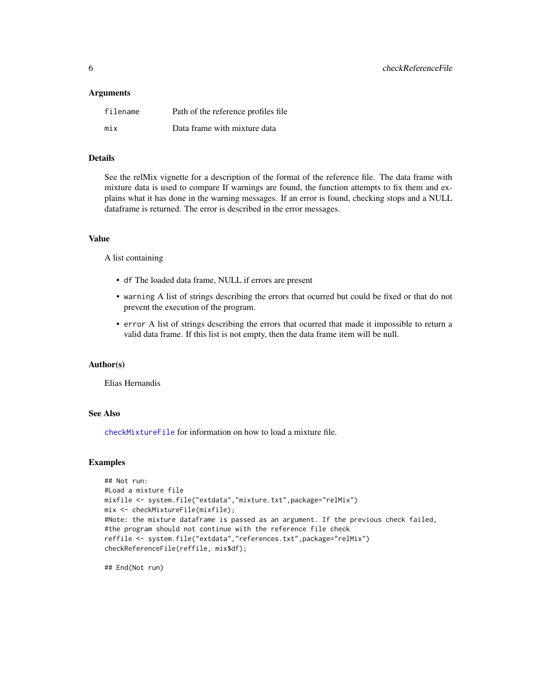#### <span id="page-5-0"></span>**Arguments**

| filename | Path of the reference profiles file. |
|----------|--------------------------------------|
| mix      | Data frame with mixture data         |

# Details

See the relMix vignette for a description of the format of the reference file. The data frame with mixture data is used to compare If warnings are found, the function attempts to fix them and explains what it has done in the warning messages. If an error is found, checking stops and a NULL dataframe is returned. The error is described in the error messages.

# Value

A list containing

- df The loaded data frame, NULL if errors are present
- warning A list of strings describing the errors that ocurred but could be fixed or that do not prevent the execution of the program.
- error A list of strings describing the errors that ocurred that made it impossible to return a valid data frame. If this list is not empty, then the data frame item will be null.

#### Author(s)

Elias Hernandis

# See Also

[checkMixtureFile](#page-2-1) for information on how to load a mixture file.

# Examples

```
## Not run:
#Load a mixture file
mixfile <- system.file("extdata","mixture.txt",package="relMix")
mix <- checkMixtureFile(mixfile);
#Note: the mixture dataframe is passed as an argument. If the previous check failed,
#the program should not continue with the reference file check
reffile <- system.file("extdata","references.txt",package="relMix")
checkReferenceFile(reffile, mix$df);
```
## End(Not run)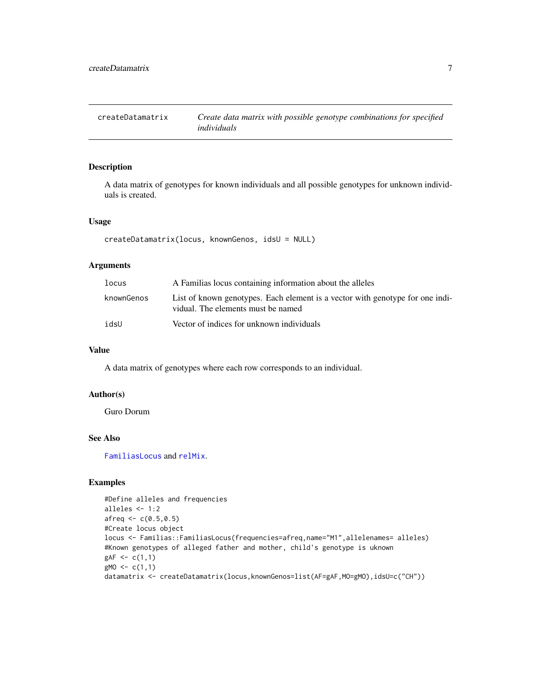<span id="page-6-0"></span>

#### Description

A data matrix of genotypes for known individuals and all possible genotypes for unknown individuals is created.

#### Usage

createDatamatrix(locus, knownGenos, idsU = NULL)

#### Arguments

| locus      | A Familias locus containing information about the alleles                                                           |
|------------|---------------------------------------------------------------------------------------------------------------------|
| knownGenos | List of known genotypes. Each element is a vector with genotype for one indi-<br>vidual. The elements must be named |
| idsU       | Vector of indices for unknown individuals                                                                           |

# Value

A data matrix of genotypes where each row corresponds to an individual.

# Author(s)

Guro Dorum

# See Also

[FamiliasLocus](#page-0-0) and [relMix](#page-10-1).

#### Examples

```
#Define alleles and frequencies
alleles <- 1:2
afreq \leftarrow c(0.5, 0.5)#Create locus object
locus <- Familias::FamiliasLocus(frequencies=afreq,name="M1",allelenames= alleles)
#Known genotypes of alleged father and mother, child's genotype is uknown
gAF < -c(1,1)gMO \leftarrow c(1,1)datamatrix <- createDatamatrix(locus,knownGenos=list(AF=gAF,MO=gMO),idsU=c("CH"))
```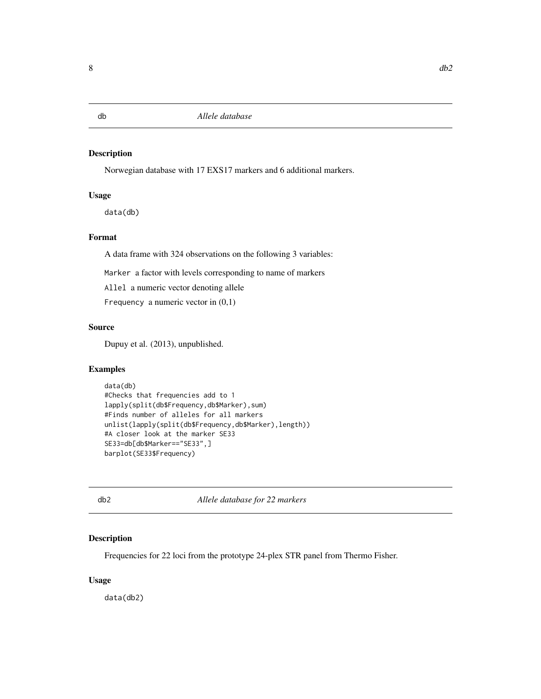<span id="page-7-0"></span>db *Allele database*

#### Description

Norwegian database with 17 EXS17 markers and 6 additional markers.

# Usage

data(db)

# Format

A data frame with 324 observations on the following 3 variables:

Marker a factor with levels corresponding to name of markers

Allel a numeric vector denoting allele

Frequency a numeric vector in  $(0,1)$ 

# Source

Dupuy et al. (2013), unpublished.

# Examples

```
data(db)
#Checks that frequencies add to 1
lapply(split(db$Frequency,db$Marker),sum)
#Finds number of alleles for all markers
unlist(lapply(split(db$Frequency,db$Marker),length))
#A closer look at the marker SE33
SE33=db[db$Marker=="SE33",]
barplot(SE33$Frequency)
```
db2 *Allele database for 22 markers*

# Description

Frequencies for 22 loci from the prototype 24-plex STR panel from Thermo Fisher.

# Usage

data(db2)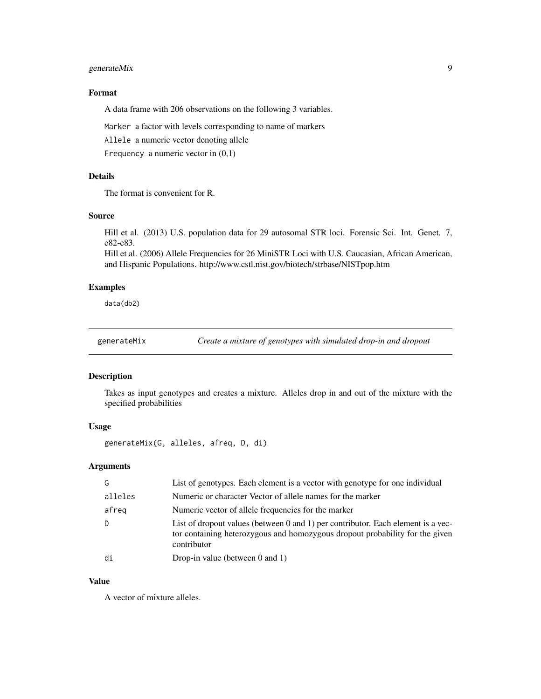# <span id="page-8-0"></span>generateMix 9

# Format

A data frame with 206 observations on the following 3 variables.

Marker a factor with levels corresponding to name of markers

Allele a numeric vector denoting allele

Frequency a numeric vector in  $(0,1)$ 

# Details

The format is convenient for R.

# Source

Hill et al. (2013) U.S. population data for 29 autosomal STR loci. Forensic Sci. Int. Genet. 7, e82-e83.

Hill et al. (2006) Allele Frequencies for 26 MiniSTR Loci with U.S. Caucasian, African American, and Hispanic Populations. http://www.cstl.nist.gov/biotech/strbase/NISTpop.htm

# Examples

data(db2)

generateMix *Create a mixture of genotypes with simulated drop-in and dropout*

#### Description

Takes as input genotypes and creates a mixture. Alleles drop in and out of the mixture with the specified probabilities

# Usage

generateMix(G, alleles, afreq, D, di)

# Arguments

| G       | List of genotypes. Each element is a vector with genotype for one individual                                                                                                    |
|---------|---------------------------------------------------------------------------------------------------------------------------------------------------------------------------------|
| alleles | Numeric or character Vector of allele names for the marker                                                                                                                      |
| afreg   | Numeric vector of allele frequencies for the marker                                                                                                                             |
|         | List of dropout values (between 0 and 1) per contributor. Each element is a vec-<br>tor containing heterozygous and homozygous dropout probability for the given<br>contributor |
| di      | Drop-in value (between $0$ and $1$ )                                                                                                                                            |

# Value

A vector of mixture alleles.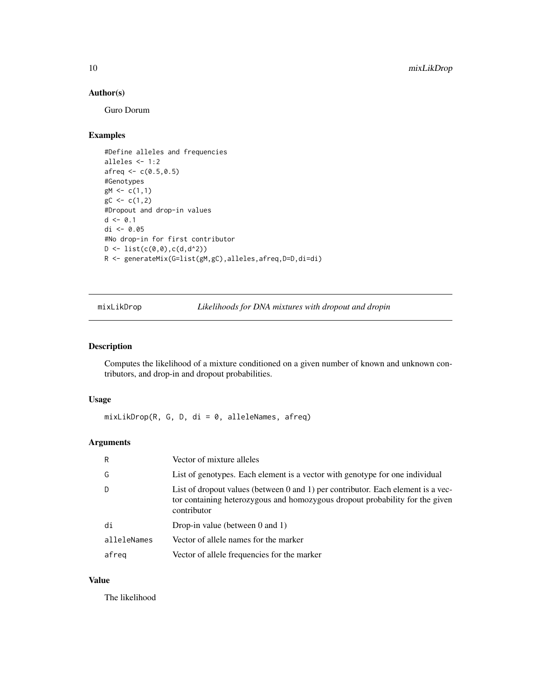# Author(s)

Guro Dorum

# Examples

```
#Define alleles and frequencies
alleles <- 1:2
afreq \leftarrow c(0.5, 0.5)#Genotypes
gM \leftarrow c(1,1)gC \leftarrow c(1,2)#Dropout and drop-in values
d \leq -0.1di <- 0.05
#No drop-in for first contributor
D \leftarrow \text{list}(c(0,0), c(d, d^2))R <- generateMix(G=list(gM,gC),alleles,afreq,D=D,di=di)
```
mixLikDrop *Likelihoods for DNA mixtures with dropout and dropin*

### Description

Computes the likelihood of a mixture conditioned on a given number of known and unknown contributors, and drop-in and dropout probabilities.

# Usage

mixLikDrop(R, G, D, di = 0, alleleNames, afreq)

# Arguments

| R           | Vector of mixture alleles                                                                                                                                                       |
|-------------|---------------------------------------------------------------------------------------------------------------------------------------------------------------------------------|
| G           | List of genotypes. Each element is a vector with genotype for one individual                                                                                                    |
| D           | List of dropout values (between 0 and 1) per contributor. Each element is a vec-<br>tor containing heterozygous and homozygous dropout probability for the given<br>contributor |
| di          | Drop-in value (between $0$ and $1$ )                                                                                                                                            |
| alleleNames | Vector of allele names for the marker                                                                                                                                           |
| afreg       | Vector of allele frequencies for the marker                                                                                                                                     |

# Value

The likelihood

<span id="page-9-0"></span>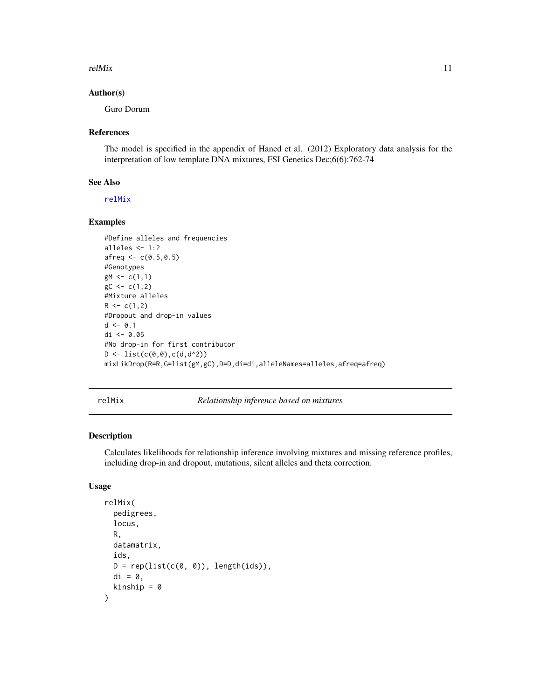#### <span id="page-10-0"></span> $relMix$  11

### Author(s)

Guro Dorum

#### References

The model is specified in the appendix of Haned et al. (2012) Exploratory data analysis for the interpretation of low template DNA mixtures, FSI Genetics Dec;6(6):762-74

### See Also

[relMix](#page-10-1)

# Examples

```
#Define alleles and frequencies
alleles <- 1:2
afreq \leftarrow c(0.5, 0.5)#Genotypes
gM \leftarrow c(1,1)gC \leftarrow c(1,2)#Mixture alleles
R < -c(1,2)#Dropout and drop-in values
d <- 0.1
di <- 0.05
#No drop-in for first contributor
D \leftarrow list(c(0,0),c(d,d^2))mixLikDrop(R=R,G=list(gM,gC),D=D,di=di,alleleNames=alleles,afreq=afreq)
```
<span id="page-10-1"></span>relMix *Relationship inference based on mixtures*

# Description

Calculates likelihoods for relationship inference involving mixtures and missing reference profiles, including drop-in and dropout, mutations, silent alleles and theta correction.

#### Usage

```
relMix(
  pedigrees,
  locus,
  R,
  datamatrix,
  ids,
  D = rep(list(c(\emptyset, \emptyset)), length(ids)),
  di = 0,kinship = \theta)
```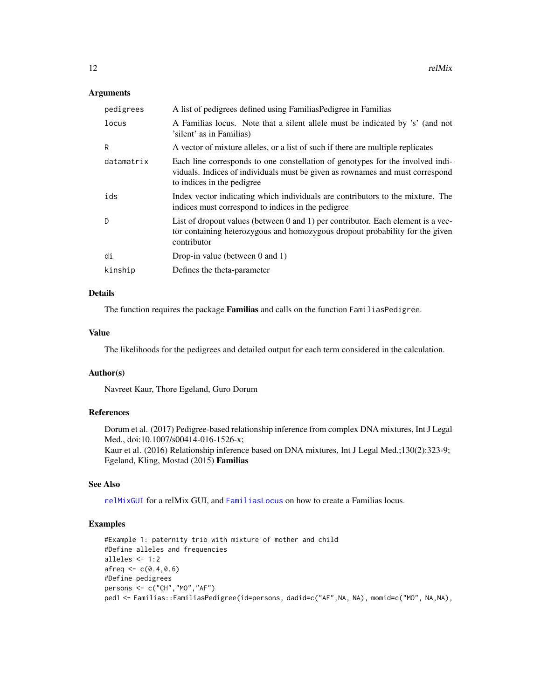### <span id="page-11-0"></span>**Arguments**

| pedigrees  | A list of pedigrees defined using FamiliasPedigree in Familias                                                                                                                                 |
|------------|------------------------------------------------------------------------------------------------------------------------------------------------------------------------------------------------|
| locus      | A Familias locus. Note that a silent allele must be indicated by 's' (and not<br>'silent' as in Familias)                                                                                      |
| R          | A vector of mixture alleles, or a list of such if there are multiple replicates                                                                                                                |
| datamatrix | Each line corresponds to one constellation of genotypes for the involved indi-<br>viduals. Indices of individuals must be given as rownames and must correspond<br>to indices in the pedigree. |
| ids        | Index vector indicating which individuals are contributors to the mixture. The<br>indices must correspond to indices in the pedigree                                                           |
| D.         | List of dropout values (between 0 and 1) per contributor. Each element is a vec-<br>tor containing heterozygous and homozygous dropout probability for the given<br>contributor                |
| di         | Drop-in value (between $0$ and $1$ )                                                                                                                                                           |
| kinship    | Defines the theta-parameter                                                                                                                                                                    |

# Details

The function requires the package Familias and calls on the function FamiliasPedigree.

#### Value

The likelihoods for the pedigrees and detailed output for each term considered in the calculation.

# Author(s)

Navreet Kaur, Thore Egeland, Guro Dorum

# References

Dorum et al. (2017) Pedigree-based relationship inference from complex DNA mixtures, Int J Legal Med., doi:10.1007/s00414-016-1526-x; Kaur et al. (2016) Relationship inference based on DNA mixtures, Int J Legal Med.;130(2):323-9; Egeland, Kling, Mostad (2015) Familias

# See Also

[relMixGUI](#page-13-1) for a relMix GUI, and [FamiliasLocus](#page-0-0) on how to create a Familias locus.

# Examples

```
#Example 1: paternity trio with mixture of mother and child
#Define alleles and frequencies
alleles <- 1:2
afreq \leftarrow c(0.4, 0.6)#Define pedigrees
persons <- c("CH","MO","AF")
ped1 <- Familias::FamiliasPedigree(id=persons, dadid=c("AF",NA, NA), momid=c("MO", NA,NA),
```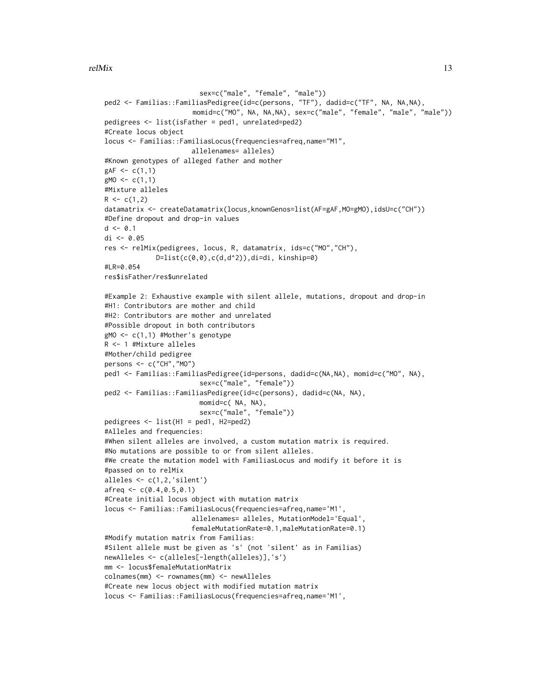```
sex=c("male", "female", "male"))
ped2 <- Familias::FamiliasPedigree(id=c(persons, "TF"), dadid=c("TF", NA, NA,NA),
                      momid=c("MO", NA, NA,NA), sex=c("male", "female", "male", "male"))
pedigrees <- list(isFather = ped1, unrelated=ped2)
#Create locus object
locus <- Familias::FamiliasLocus(frequencies=afreq,name="M1",
                      allelenames= alleles)
#Known genotypes of alleged father and mother
gAF < -c(1,1)gMO \leftarrow c(1,1)#Mixture alleles
R \leq c(1,2)datamatrix <- createDatamatrix(locus,knownGenos=list(AF=gAF,MO=gMO),idsU=c("CH"))
#Define dropout and drop-in values
d \le -0.1di <- 0.05
res <- relMix(pedigrees, locus, R, datamatrix, ids=c("MO","CH"),
             D=list(c(0,0),c(d,d^2)),di=di, kinship=0)#LR=0.054res$isFather/res$unrelated
#Example 2: Exhaustive example with silent allele, mutations, dropout and drop-in
#H1: Contributors are mother and child
#H2: Contributors are mother and unrelated
#Possible dropout in both contributors
gMO <- c(1,1) #Mother's genotype
R <- 1 #Mixture alleles
#Mother/child pedigree
persons <- c("CH","MO")
ped1 <- Familias::FamiliasPedigree(id=persons, dadid=c(NA,NA), momid=c("MO", NA),
                        sex=c("male", "female"))
ped2 <- Familias::FamiliasPedigree(id=c(persons), dadid=c(NA, NA),
                        momid=c( NA, NA),
                        sex=c("male", "female"))
pedigrees <- list(H1 = ped1, H2=ped2)
#Alleles and frequencies:
#When silent alleles are involved, a custom mutation matrix is required.
#No mutations are possible to or from silent alleles.
#We create the mutation model with FamiliasLocus and modify it before it is
#passed on to relMix
alleles \leq c(1,2,'silent')afreq \leftarrow c(0.4, 0.5, 0.1)#Create initial locus object with mutation matrix
locus <- Familias::FamiliasLocus(frequencies=afreq,name='M1',
                      allelenames= alleles, MutationModel='Equal',
                      femaleMutationRate=0.1,maleMutationRate=0.1)
#Modify mutation matrix from Familias:
#Silent allele must be given as 's' (not 'silent' as in Familias)
newAlleles <- c(alleles[-length(alleles)],'s')
mm <- locus$femaleMutationMatrix
colnames(mm) <- rownames(mm) <- newAlleles
#Create new locus object with modified mutation matrix
locus <- Familias::FamiliasLocus(frequencies=afreq,name='M1',
```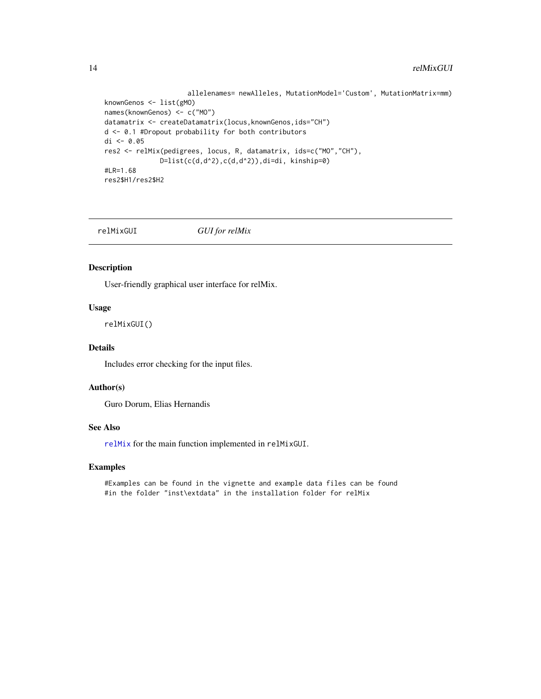```
allelenames= newAlleles, MutationModel='Custom', MutationMatrix=mm)
knownGenos <- list(gMO)
names(knownGenos) <- c("MO")
datamatrix <- createDatamatrix(locus,knownGenos,ids="CH")
d <- 0.1 #Dropout probability for both contributors
di <- 0.05
res2 <- relMix(pedigrees, locus, R, datamatrix, ids=c("MO","CH"),
              D=list(c(d,d^2),c(d,d^2)),di=di, kinship=0)#LR=1.68
res2$H1/res2$H2
```
<span id="page-13-1"></span>relMixGUI *GUI for relMix*

# Description

User-friendly graphical user interface for relMix.

#### Usage

relMixGUI()

# Details

Includes error checking for the input files.

# Author(s)

Guro Dorum, Elias Hernandis

# See Also

[relMix](#page-10-1) for the main function implemented in relMixGUI.

### Examples

#Examples can be found in the vignette and example data files can be found #in the folder "inst\extdata" in the installation folder for relMix